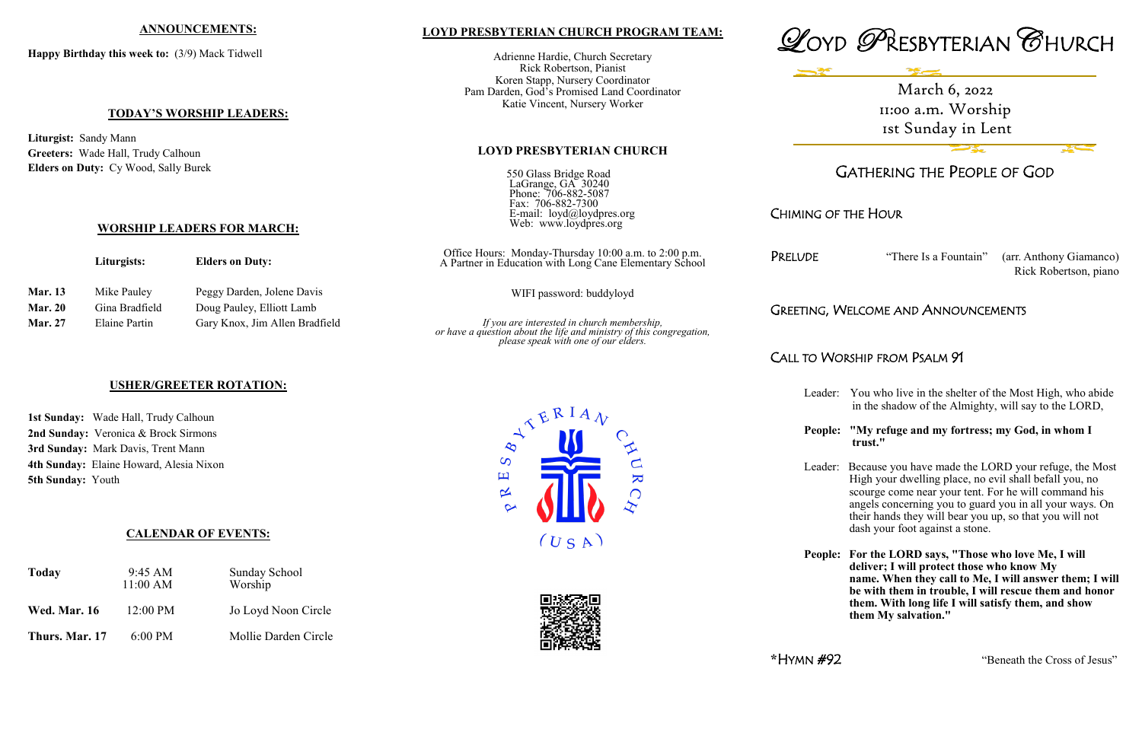## **LOYD PRESBYTERIAN CHURCH PROGRAM TEAM:**

Adrienne Hardie, Church Secretary Rick Robertson, Pianist Koren Stapp, Nursery Coordinator Pam Darden, God's Promised Land Coordinator Katie Vincent, Nursery Worker

#### **LOYD PRESBYTERIAN CHURCH**

550 Glass Bridge Road LaGrange, GA 30240 Phone: 706-882-5087 Fax: 706-882-7300 E-mail: loyd@loydpres.org Web: www.loydpres.org

> Office Hours: Monday-Thursday 10:00 a.m. to 2:00 p.m. A Partner in Education with Long Cane Elementary School

> > WIFI password: buddyloyd

*If you are interested in church membership, or have a question about the life and ministry of this congregation, please speak with one of our elders.*





# GATHERING THE PEOPLE OF GOD

CHIMING OF THE HOUR

PRELUDE "There Is a Fountain" (arr. Anthony Giamanco) Rick Robertson, piano

## GREETING, WELCOME AND ANNOUNCEMENTS

# CALL TO WORSHIP FROM PSALM 91

Leader: You who live in the shelter of the Most High, who abide in the shadow of the Almighty, will say to the LORD,

#### **People: "My refuge and my fortress; my God, in whom I trust."**

Leader: Because you have made the LORD your refuge, the Most High your dwelling place, no evil shall befall you, no scourge come near your tent. For he will command his angels concerning you to guard you in all your ways. On their hands they will bear you up, so that you will not dash your foot against a stone.

**People: For the LORD says, "Those who love Me, I will deliver; I will protect those who know My name. When they call to Me, I will answer them; I will be with them in trouble, I will rescue them and honor them. With long life I will satisfy them, and show them My salvation."**

**\***HYMN #92 "Beneath the Cross of Jesus"

#### **ANNOUNCEMENTS:**

**Happy Birthday this week to:** (3/9) Mack Tidwell

### **TODAY'S WORSHIP LEADERS:**

**Liturgist:** Sandy Mann **Greeters:** Wade Hall, Trudy Calhoun **Elders on Duty:** Cy Wood, Sally Burek

**WORSHIP LEADERS FOR MARCH:**

**Liturgists: Elders on Duty:**

**Mar. 27** Elaine Partin Gary Knox, Jim Allen Bradfield

**Mar. 13** Mike Pauley Peggy Darden, Jolene Davis Mar. 20 Gina Bradfield Doug Pauley, Elliott Lamb

#### **USHER/GREETER ROTATION:**

**1st Sunday:** Wade Hall, Trudy Calhoun **2nd Sunday:** Veronica & Brock Sirmons **3rd Sunday:** Mark Davis, Trent Mann **4th Sunday:** Elaine Howard, Alesia Nixon **5th Sunday:** Youth

## **CALENDAR OF EVENTS:**

| <b>Today</b>        | $9:45 \text{ AM}$<br>11:00 AM | <b>Sunday School</b><br>Worship |  |
|---------------------|-------------------------------|---------------------------------|--|
| <b>Wed. Mar. 16</b> | $12:00 \text{ PM}$            | Jo Loyd Noon Circle             |  |
| Thurs. Mar. 17      | $6:00 \text{ PM}$             | Mollie Darden Circle            |  |





March 6, 2022 11:00 a.m. Worship 1st Sunday in Lent